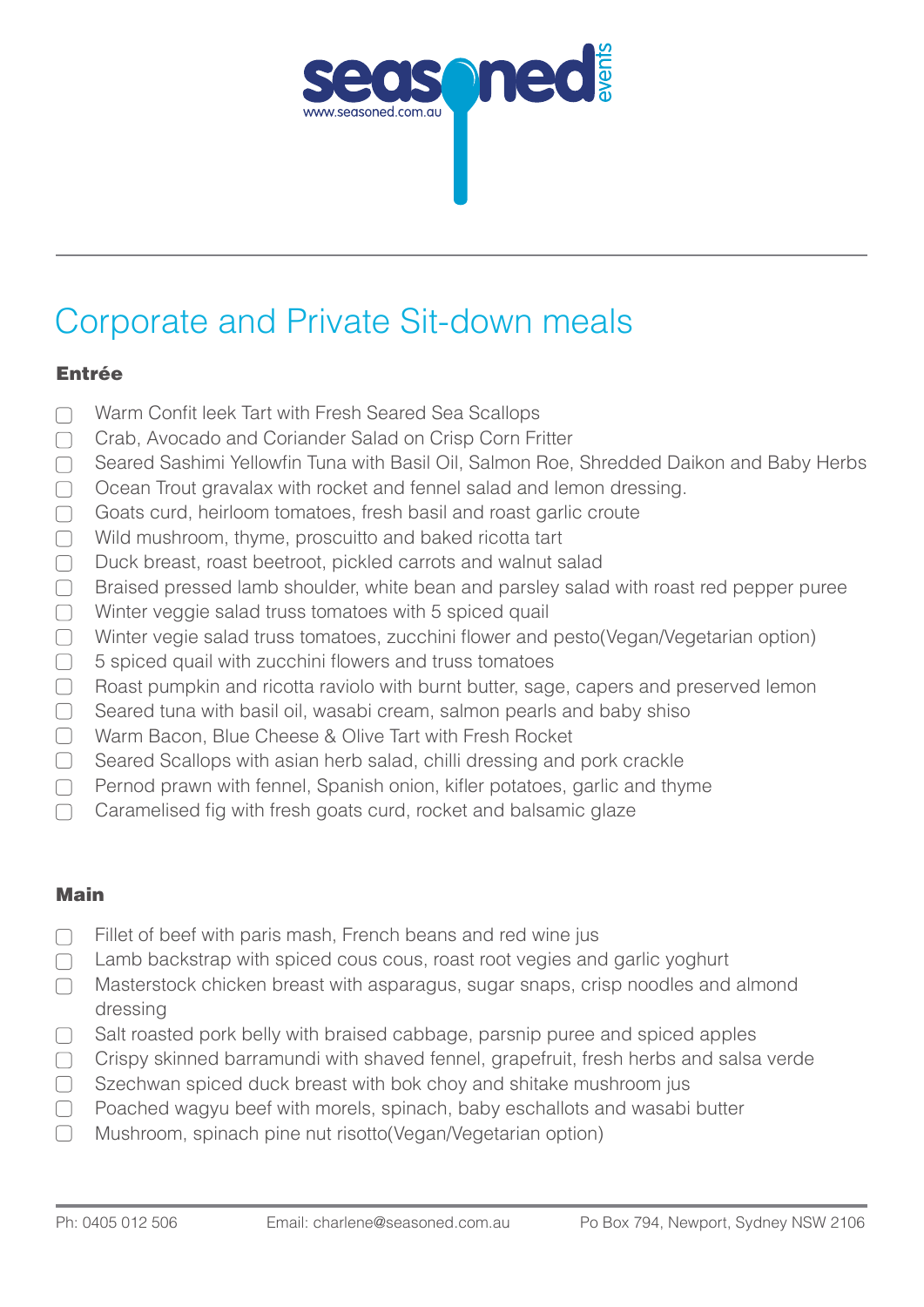

# Corporate and Private Sit-down meals

## Entrée

- Warm Confit leek Tart with Fresh Seared Sea Scallops  $\Box$
- Crab, Avocado and Coriander Salad on Crisp Corn Fritter  $\Box$
- Seared Sashimi Yellowfin Tuna with Basil Oil, Salmon Roe, Shredded Daikon and Baby Herbs  $\Box$
- $\Box$ Ocean Trout gravalax with rocket and fennel salad and lemon dressing.
- Goats curd, heirloom tomatoes, fresh basil and roast garlic croute  $\Box$
- $\Box$ Wild mushroom, thyme, proscuitto and baked ricotta tart
- Duck breast, roast beetroot, pickled carrots and walnut salad  $\Box$
- $\Box$ Braised pressed lamb shoulder, white bean and parsley salad with roast red pepper puree
- Winter veggie salad truss tomatoes with 5 spiced quail  $\Box$
- $\Box$ Winter vegie salad truss tomatoes, zucchini flower and pesto(Vegan/Vegetarian option)
- $\Box$ 5 spiced quail with zucchini flowers and truss tomatoes
- $\Box$ Roast pumpkin and ricotta raviolo with burnt butter, sage, capers and preserved lemon
- $\Box$ Seared tuna with basil oil, wasabi cream, salmon pearls and baby shiso
- Warm Bacon, Blue Cheese & Olive Tart with Fresh Rocket  $\begin{array}{c} \begin{array}{c} \end{array} \end{array}$
- $\Box$ Seared Scallops with asian herb salad, chilli dressing and pork crackle
- Pernod prawn with fennel, Spanish onion, kifler potatoes, garlic and thyme  $\Box$
- Caramelised fig with fresh goats curd, rocket and balsamic glaze  $\Box$

### Main

- Fillet of beef with paris mash, French beans and red wine jus  $\Box$
- Lamb backstrap with spiced cous cous, roast root vegies and garlic yoghurt  $\Box$
- Masterstock chicken breast with asparagus, sugar snaps, crisp noodles and almond  $\Box$ dressing
- $\Box$ Salt roasted pork belly with braised cabbage, parsnip puree and spiced apples
- Crispy skinned barramundi with shaved fennel, grapefruit, fresh herbs and salsa verde  $\Box$
- Szechwan spiced duck breast with bok choy and shitake mushroom jus  $\Box$
- Poached wagyu beef with morels, spinach, baby eschallots and wasabi butter  $\Box$
- $\Box$ Mushroom, spinach pine nut risotto(Vegan/Vegetarian option)